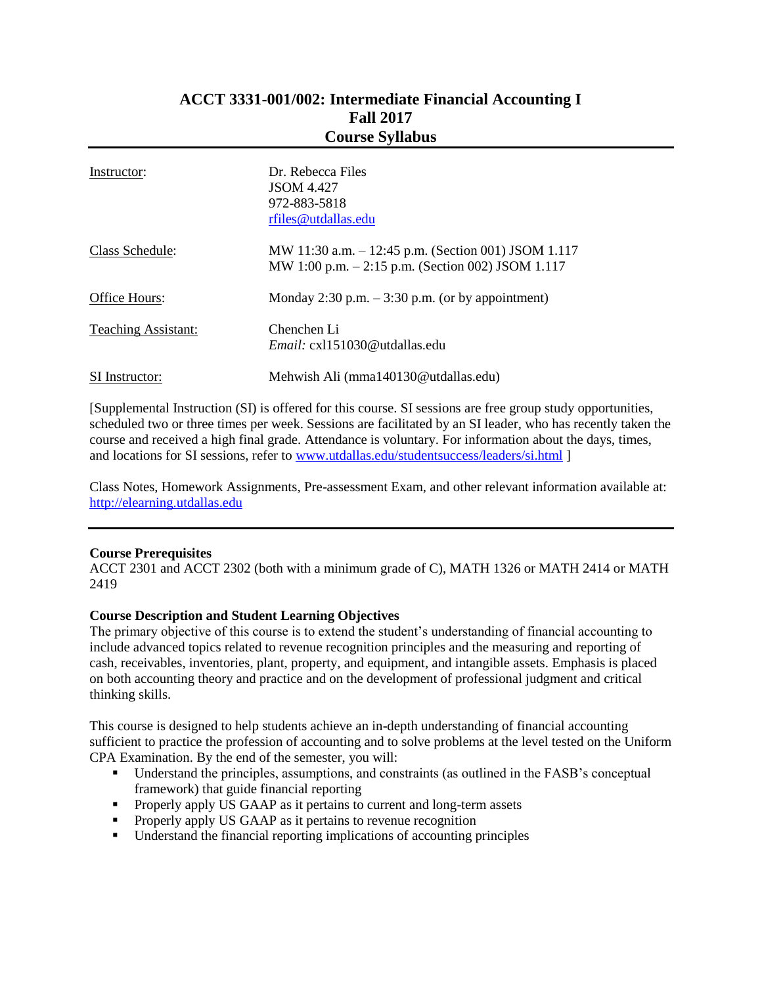### **ACCT 3331-001/002: Intermediate Financial Accounting I Fall 2017 Course Syllabus**

| Instructor:                | Dr. Rebecca Files<br><b>JSOM 4.427</b><br>972-883-5818<br>rfiles@utdallas.edu                             |
|----------------------------|-----------------------------------------------------------------------------------------------------------|
| Class Schedule:            | MW 11:30 a.m. - 12:45 p.m. (Section 001) JSOM 1.117<br>MW 1:00 p.m. $-2:15$ p.m. (Section 002) JSOM 1.117 |
| Office Hours:              | Monday 2:30 p.m. $-3:30$ p.m. (or by appointment)                                                         |
| <b>Teaching Assistant:</b> | Chenchen Li<br><i>Email:</i> cx1151030@utdallas.edu                                                       |
| SI Instructor:             | Mehwish Ali (mma140130@utdallas.edu)                                                                      |

[Supplemental Instruction (SI) is offered for this course. SI sessions are free group study opportunities, scheduled two or three times per week. Sessions are facilitated by an SI leader, who has recently taken the course and received a high final grade. Attendance is voluntary. For information about the days, times, and locations for SI sessions, refer to [www.utdallas.edu/studentsuccess/leaders/si.html](http://www.utdallas.edu/studentsuccess/leaders/si.html) ]

Class Notes, Homework Assignments, Pre-assessment Exam, and other relevant information available at: [http://elearning.utdallas.edu](http://elearning.utdallas.edu/)

### **Course Prerequisites**

ACCT 2301 and ACCT 2302 (both with a minimum grade of C), MATH 1326 or MATH 2414 or MATH 2419

### **Course Description and Student Learning Objectives**

The primary objective of this course is to extend the student's understanding of financial accounting to include advanced topics related to revenue recognition principles and the measuring and reporting of cash, receivables, inventories, plant, property, and equipment, and intangible assets. Emphasis is placed on both accounting theory and practice and on the development of professional judgment and critical thinking skills.

This course is designed to help students achieve an in-depth understanding of financial accounting sufficient to practice the profession of accounting and to solve problems at the level tested on the Uniform CPA Examination. By the end of the semester, you will:

- Understand the principles, assumptions, and constraints (as outlined in the FASB's conceptual framework) that guide financial reporting
- **Properly apply US GAAP as it pertains to current and long-term assets**
- **Properly apply US GAAP as it pertains to revenue recognition**
- Understand the financial reporting implications of accounting principles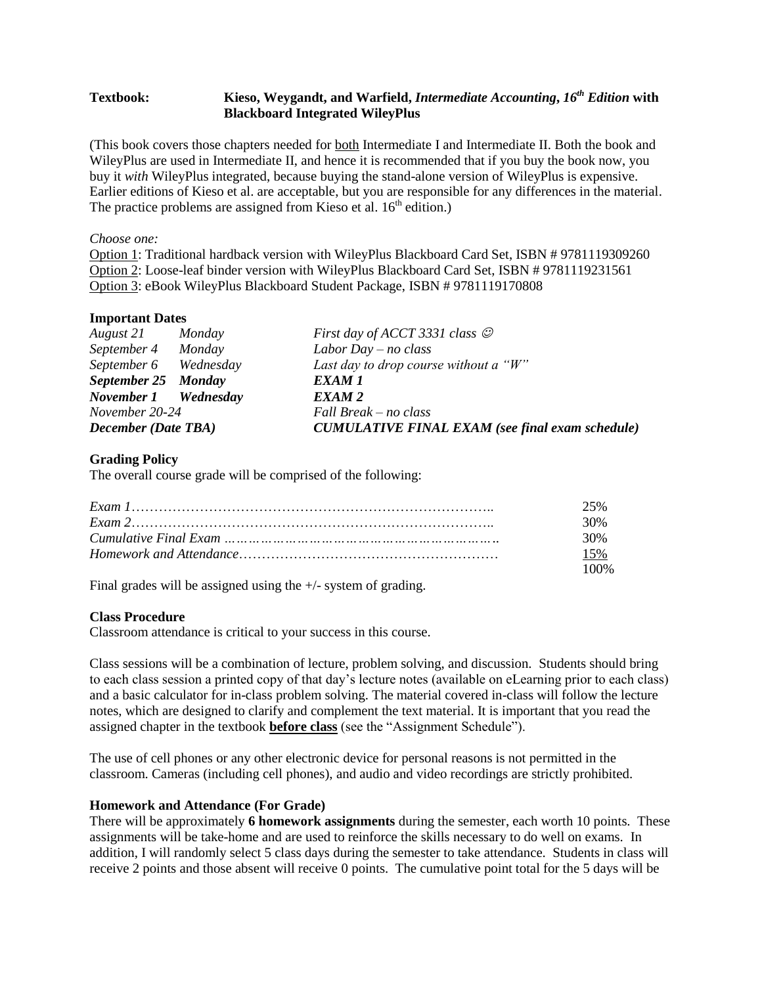### **Textbook: Kieso, Weygandt, and Warfield,** *Intermediate Accounting***,** *16 th Edition* **with Blackboard Integrated WileyPlus**

(This book covers those chapters needed for both Intermediate I and Intermediate II. Both the book and WileyPlus are used in Intermediate II, and hence it is recommended that if you buy the book now, you buy it *with* WileyPlus integrated, because buying the stand-alone version of WileyPlus is expensive. Earlier editions of Kieso et al. are acceptable, but you are responsible for any differences in the material. The practice problems are assigned from Kieso et al.  $16<sup>th</sup>$  edition.)

### *Choose one:*

Option 1: Traditional hardback version with WileyPlus Blackboard Card Set, ISBN # 9781119309260 Option 2: Loose-leaf binder version with WileyPlus Blackboard Card Set, ISBN # 9781119231561 Option 3: eBook WileyPlus Blackboard Student Package, ISBN # 9781119170808

### **Important Dates**

| August 21 Monday           |  | First day of ACCT 3331 class $\odot$                   |  |
|----------------------------|--|--------------------------------------------------------|--|
| September 4 Monday         |  | Labor Day $-$ no class                                 |  |
| September 6 Wednesday      |  | Last day to drop course without a " $W$ "              |  |
| September 25 Monday        |  | EXAM 1                                                 |  |
| November 1 Wednesday       |  | EXAM <sub>2</sub>                                      |  |
| November 20-24             |  | Fall Break – no class                                  |  |
| <b>December (Date TBA)</b> |  | <b>CUMULATIVE FINAL EXAM</b> (see final exam schedule) |  |

### **Grading Policy**

The overall course grade will be comprised of the following:

| 25%  |
|------|
| 30%  |
| 30%  |
| 15%  |
| 100% |

Final grades will be assigned using the +/- system of grading.

### **Class Procedure**

Classroom attendance is critical to your success in this course.

Class sessions will be a combination of lecture, problem solving, and discussion. Students should bring to each class session a printed copy of that day's lecture notes (available on eLearning prior to each class) and a basic calculator for in-class problem solving. The material covered in-class will follow the lecture notes, which are designed to clarify and complement the text material. It is important that you read the assigned chapter in the textbook **before class** (see the "Assignment Schedule").

The use of cell phones or any other electronic device for personal reasons is not permitted in the classroom. Cameras (including cell phones), and audio and video recordings are strictly prohibited.

#### **Homework and Attendance (For Grade)**

There will be approximately **6 homework assignments** during the semester, each worth 10 points. These assignments will be take-home and are used to reinforce the skills necessary to do well on exams. In addition, I will randomly select 5 class days during the semester to take attendance. Students in class will receive 2 points and those absent will receive 0 points. The cumulative point total for the 5 days will be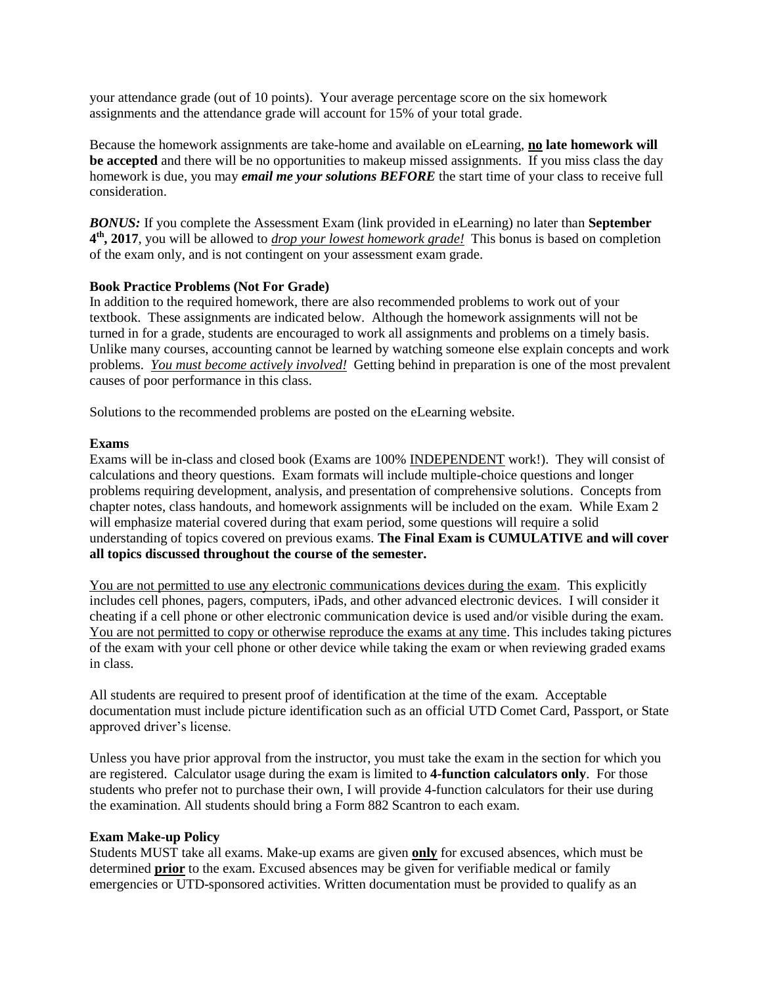your attendance grade (out of 10 points). Your average percentage score on the six homework assignments and the attendance grade will account for 15% of your total grade.

Because the homework assignments are take-home and available on eLearning, **no late homework will be accepted** and there will be no opportunities to makeup missed assignments. If you miss class the day homework is due, you may *email me your solutions BEFORE* the start time of your class to receive full consideration.

*BONUS:* If you complete the Assessment Exam (link provided in eLearning) no later than **September 4 th, 2017**, you will be allowed to *drop your lowest homework grade!* This bonus is based on completion of the exam only, and is not contingent on your assessment exam grade.

### **Book Practice Problems (Not For Grade)**

In addition to the required homework, there are also recommended problems to work out of your textbook. These assignments are indicated below. Although the homework assignments will not be turned in for a grade, students are encouraged to work all assignments and problems on a timely basis. Unlike many courses, accounting cannot be learned by watching someone else explain concepts and work problems. *You must become actively involved!* Getting behind in preparation is one of the most prevalent causes of poor performance in this class.

Solutions to the recommended problems are posted on the eLearning website.

### **Exams**

Exams will be in-class and closed book (Exams are 100% INDEPENDENT work!). They will consist of calculations and theory questions. Exam formats will include multiple-choice questions and longer problems requiring development, analysis, and presentation of comprehensive solutions. Concepts from chapter notes, class handouts, and homework assignments will be included on the exam. While Exam 2 will emphasize material covered during that exam period, some questions will require a solid understanding of topics covered on previous exams. **The Final Exam is CUMULATIVE and will cover all topics discussed throughout the course of the semester.**

You are not permitted to use any electronic communications devices during the exam. This explicitly includes cell phones, pagers, computers, iPads, and other advanced electronic devices. I will consider it cheating if a cell phone or other electronic communication device is used and/or visible during the exam. You are not permitted to copy or otherwise reproduce the exams at any time. This includes taking pictures of the exam with your cell phone or other device while taking the exam or when reviewing graded exams in class.

All students are required to present proof of identification at the time of the exam. Acceptable documentation must include picture identification such as an official UTD Comet Card, Passport, or State approved driver's license.

Unless you have prior approval from the instructor, you must take the exam in the section for which you are registered. Calculator usage during the exam is limited to **4-function calculators only**. For those students who prefer not to purchase their own, I will provide 4-function calculators for their use during the examination. All students should bring a Form 882 Scantron to each exam.

### **Exam Make-up Policy**

Students MUST take all exams. Make-up exams are given **only** for excused absences, which must be determined **prior** to the exam. Excused absences may be given for verifiable medical or family emergencies or UTD-sponsored activities. Written documentation must be provided to qualify as an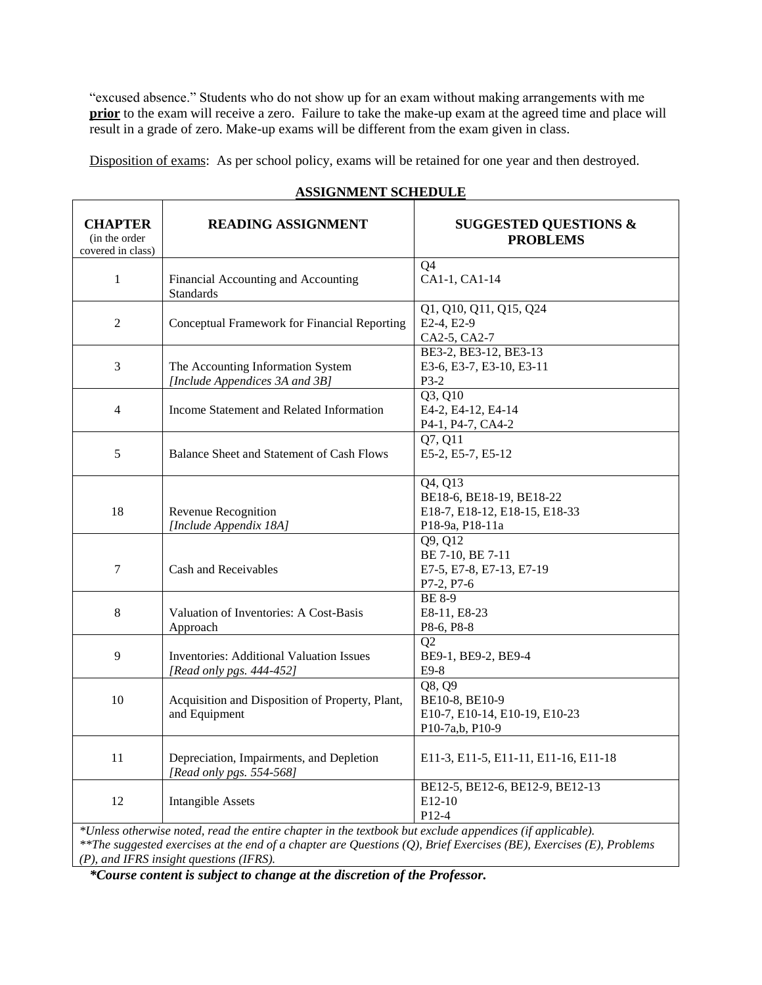"excused absence." Students who do not show up for an exam without making arrangements with me **prior** to the exam will receive a zero. Failure to take the make-up exam at the agreed time and place will result in a grade of zero. Make-up exams will be different from the exam given in class.

Disposition of exams: As per school policy, exams will be retained for one year and then destroyed.

| <b>CHAPTER</b><br>(in the order<br>covered in class)                                                     | <b>READING ASSIGNMENT</b>                                                   | <b>SUGGESTED QUESTIONS &amp;</b><br><b>PROBLEMS</b>                                                  |  |  |
|----------------------------------------------------------------------------------------------------------|-----------------------------------------------------------------------------|------------------------------------------------------------------------------------------------------|--|--|
| $\mathbf{1}$                                                                                             | Financial Accounting and Accounting<br><b>Standards</b>                     | Ο4<br>CA1-1, CA1-14                                                                                  |  |  |
| $\overline{2}$                                                                                           | Conceptual Framework for Financial Reporting                                | Q1, Q10, Q11, Q15, Q24<br>E2-4, E2-9<br>CA2-5, CA2-7                                                 |  |  |
| 3                                                                                                        | The Accounting Information System<br>[Include Appendices 3A and 3B]         | BE3-2, BE3-12, BE3-13<br>E3-6, E3-7, E3-10, E3-11<br>$P3-2$                                          |  |  |
| 4                                                                                                        | Income Statement and Related Information                                    | $Q\overline{3, Q10}$<br>E4-2, E4-12, E4-14<br>P4-1, P4-7, CA4-2                                      |  |  |
| 5                                                                                                        | Balance Sheet and Statement of Cash Flows                                   | Q7, Q11<br>E5-2, E5-7, E5-12                                                                         |  |  |
| 18                                                                                                       | Revenue Recognition<br>[Include Appendix 18A]                               | $Q4, \overline{Q13}$<br>BE18-6, BE18-19, BE18-22<br>E18-7, E18-12, E18-15, E18-33<br>P18-9a, P18-11a |  |  |
| $\overline{7}$                                                                                           | Cash and Receivables                                                        | Q9, Q12<br>BE 7-10, BE 7-11<br>E7-5, E7-8, E7-13, E7-19<br>P7-2, P7-6                                |  |  |
| $\,8\,$                                                                                                  | Valuation of Inventories: A Cost-Basis<br>Approach                          | <b>BE 8-9</b><br>E8-11, E8-23<br>P8-6, P8-8                                                          |  |  |
| 9                                                                                                        | <b>Inventories: Additional Valuation Issues</b><br>[Read only pgs. 444-452] | O <sub>2</sub><br>BE9-1, BE9-2, BE9-4<br>$E9-8$                                                      |  |  |
| 10                                                                                                       | Acquisition and Disposition of Property, Plant,<br>and Equipment            | Q8, Q9<br>BE10-8, BE10-9<br>E10-7, E10-14, E10-19, E10-23<br>P10-7a,b, P10-9                         |  |  |
| 11                                                                                                       | Depreciation, Impairments, and Depletion<br>[Read only pgs. 554-568]        | E11-3, E11-5, E11-11, E11-16, E11-18                                                                 |  |  |
| 12                                                                                                       | <b>Intangible Assets</b>                                                    | BE12-5, BE12-6, BE12-9, BE12-13<br>E12-10<br>P12-4                                                   |  |  |
| *Unless otherwise noted, read the entire chapter in the textbook but exclude appendices (if applicable). |                                                                             |                                                                                                      |  |  |

### **ASSIGNMENT SCHEDULE**

*\*\*The suggested exercises at the end of a chapter are Questions (Q), Brief Exercises (BE), Exercises (E), Problems (P), and IFRS insight questions (IFRS).*

*\*Course content is subject to change at the discretion of the Professor.*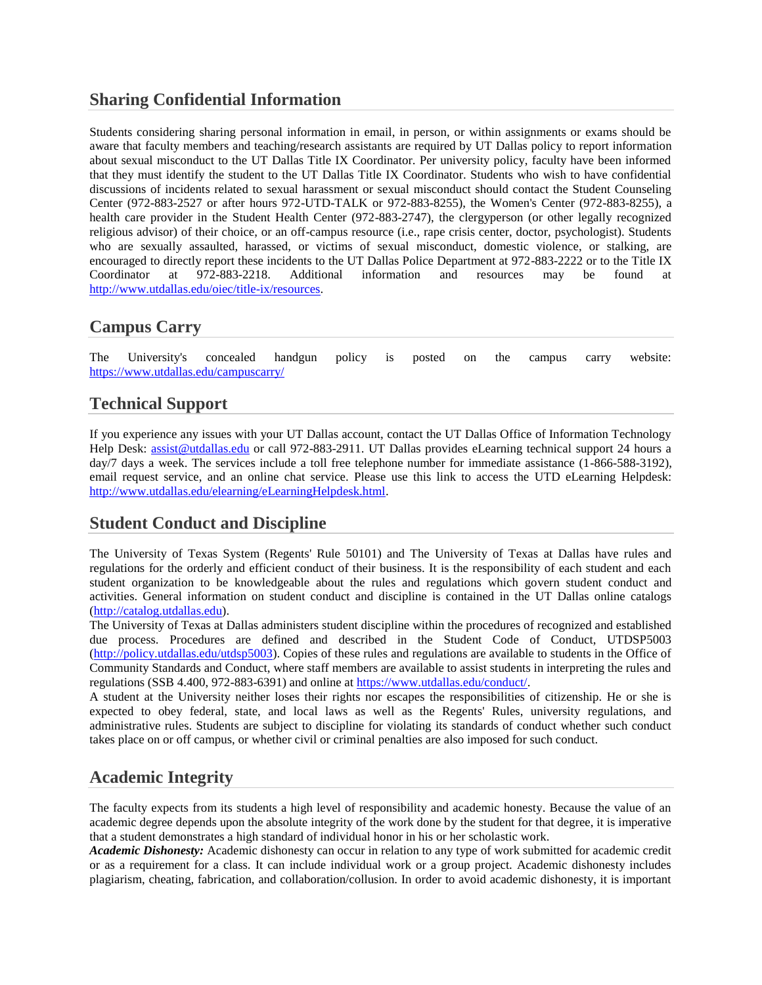## **Sharing Confidential Information**

Students considering sharing personal information in email, in person, or within assignments or exams should be aware that faculty members and teaching/research assistants are required by UT Dallas policy to report information about sexual misconduct to the UT Dallas Title IX Coordinator. Per university policy, faculty have been informed that they must identify the student to the UT Dallas Title IX Coordinator. Students who wish to have confidential discussions of incidents related to sexual harassment or sexual misconduct should contact the Student Counseling Center (972-883-2527 or after hours 972-UTD-TALK or 972-883-8255), the Women's Center (972-883-8255), a health care provider in the Student Health Center (972-883-2747), the clergyperson (or other legally recognized religious advisor) of their choice, or an off-campus resource (i.e., rape crisis center, doctor, psychologist). Students who are sexually assaulted, harassed, or victims of sexual misconduct, domestic violence, or stalking, are encouraged to directly report these incidents to the UT Dallas Police Department at 972-883-2222 or to the Title IX Coordinator at 972-883-2218. Additional information and resources may be found at [http://www.utdallas.edu/oiec/title-ix/resources.](http://www.utdallas.edu/oiec/title-ix/resources)

## **Campus Carry**

The University's concealed handgun policy is posted on the campus carry website: <https://www.utdallas.edu/campuscarry/>

## **Technical Support**

If you experience any issues with your UT Dallas account, contact the UT Dallas Office of Information Technology Help Desk: [assist@utdallas.edu](mailto:assist@utdallas.edu) or call 972-883-2911. UT Dallas provides eLearning technical support 24 hours a day/7 days a week. The services include a toll free telephone number for immediate assistance (1-866-588-3192), email request service, and an online chat service. Please use this link to access the UTD eLearning Helpdesk: [http://www.utdallas.edu/elearning/eLearningHelpdesk.html.](http://www.utdallas.edu/elearning/eLearningHelpdesk.html)

## **Student Conduct and Discipline**

The University of Texas System (Regents' Rule 50101) and The University of Texas at Dallas have rules and regulations for the orderly and efficient conduct of their business. It is the responsibility of each student and each student organization to be knowledgeable about the rules and regulations which govern student conduct and activities. General information on student conduct and discipline is contained in the UT Dallas online catalogs [\(http://catalog.utdallas.edu\)](http://catalog.utdallas.edu/).

The University of Texas at Dallas administers student discipline within the procedures of recognized and established due process. Procedures are defined and described in the Student Code of Conduct, UTDSP5003 [\(http://policy.utdallas.edu/utdsp5003\)](http://policy.utdallas.edu/utdsp5003). Copies of these rules and regulations are available to students in the Office of Community Standards and Conduct, where staff members are available to assist students in interpreting the rules and regulations (SSB 4.400, 972-883-6391) and online a[t https://www.utdallas.edu/conduct/.](https://www.utdallas.edu/conduct/)

A student at the University neither loses their rights nor escapes the responsibilities of citizenship. He or she is expected to obey federal, state, and local laws as well as the Regents' Rules, university regulations, and administrative rules. Students are subject to discipline for violating its standards of conduct whether such conduct takes place on or off campus, or whether civil or criminal penalties are also imposed for such conduct.

# **Academic Integrity**

The faculty expects from its students a high level of responsibility and academic honesty. Because the value of an academic degree depends upon the absolute integrity of the work done by the student for that degree, it is imperative that a student demonstrates a high standard of individual honor in his or her scholastic work.

*Academic Dishonesty:* Academic dishonesty can occur in relation to any type of work submitted for academic credit or as a requirement for a class. It can include individual work or a group project. Academic dishonesty includes plagiarism, cheating, fabrication, and collaboration/collusion. In order to avoid academic dishonesty, it is important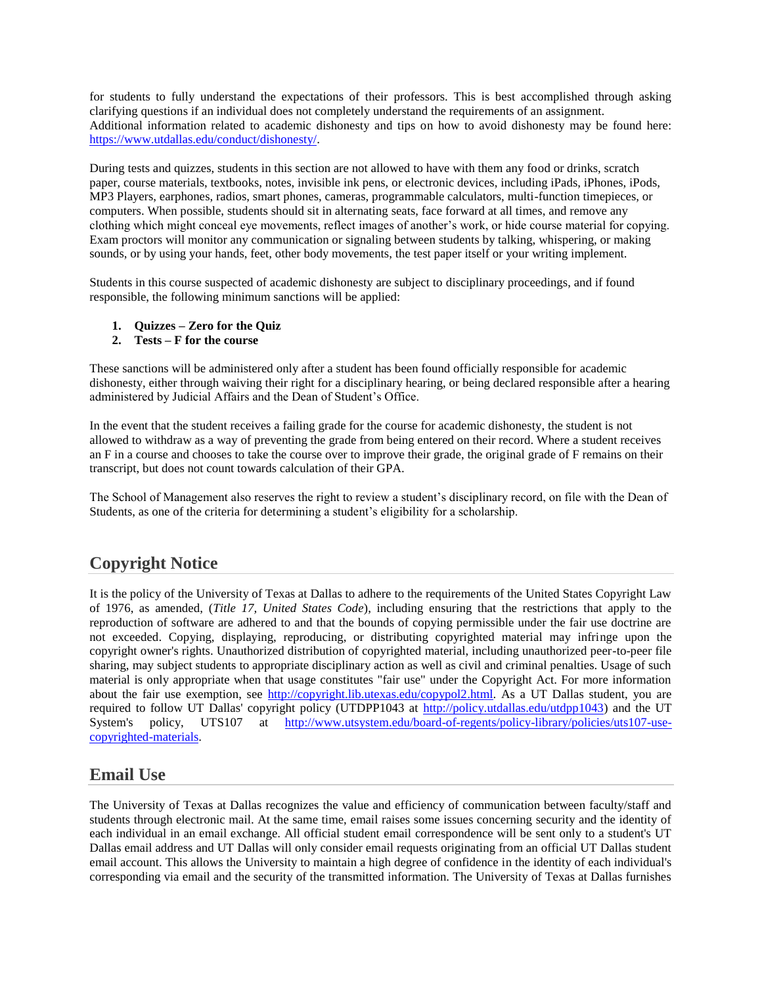for students to fully understand the expectations of their professors. This is best accomplished through asking clarifying questions if an individual does not completely understand the requirements of an assignment. Additional information related to academic dishonesty and tips on how to avoid dishonesty may be found here: [https://www.utdallas.edu/conduct/dishonesty/.](https://www.utdallas.edu/conduct/dishonesty/)

During tests and quizzes, students in this section are not allowed to have with them any food or drinks, scratch paper, course materials, textbooks, notes, invisible ink pens, or electronic devices, including iPads, iPhones, iPods, MP3 Players, earphones, radios, smart phones, cameras, programmable calculators, multi-function timepieces, or computers. When possible, students should sit in alternating seats, face forward at all times, and remove any clothing which might conceal eye movements, reflect images of another's work, or hide course material for copying. Exam proctors will monitor any communication or signaling between students by talking, whispering, or making sounds, or by using your hands, feet, other body movements, the test paper itself or your writing implement.

Students in this course suspected of academic dishonesty are subject to disciplinary proceedings, and if found responsible, the following minimum sanctions will be applied:

- **1. Quizzes – Zero for the Quiz**
- **2. Tests – F for the course**

These sanctions will be administered only after a student has been found officially responsible for academic dishonesty, either through waiving their right for a disciplinary hearing, or being declared responsible after a hearing administered by Judicial Affairs and the Dean of Student's Office.

In the event that the student receives a failing grade for the course for academic dishonesty, the student is not allowed to withdraw as a way of preventing the grade from being entered on their record. Where a student receives an F in a course and chooses to take the course over to improve their grade, the original grade of F remains on their transcript, but does not count towards calculation of their GPA.

The School of Management also reserves the right to review a student's disciplinary record, on file with the Dean of Students, as one of the criteria for determining a student's eligibility for a scholarship.

# **Copyright Notice**

It is the policy of the University of Texas at Dallas to adhere to the requirements of the United States Copyright Law of 1976, as amended, (*Title 17, United States Code*), including ensuring that the restrictions that apply to the reproduction of software are adhered to and that the bounds of copying permissible under the fair use doctrine are not exceeded. Copying, displaying, reproducing, or distributing copyrighted material may infringe upon the copyright owner's rights. Unauthorized distribution of copyrighted material, including unauthorized peer-to-peer file sharing, may subject students to appropriate disciplinary action as well as civil and criminal penalties. Usage of such material is only appropriate when that usage constitutes "fair use" under the Copyright Act. For more information about the fair use exemption, see [http://copyright.lib.utexas.edu/copypol2.html.](http://copyright.lib.utexas.edu/copypol2.html) As a UT Dallas student, you are required to follow UT Dallas' copyright policy (UTDPP1043 at [http://policy.utdallas.edu/utdpp1043\)](http://policy.utdallas.edu/utdpp1043) and the UT System's policy, UTS107 at [http://www.utsystem.edu/board-of-regents/policy-library/policies/uts107-use](http://www.utsystem.edu/board-of-regents/policy-library/policies/uts107-use-copyrighted-materials)[copyrighted-materials.](http://www.utsystem.edu/board-of-regents/policy-library/policies/uts107-use-copyrighted-materials)

# **Email Use**

The University of Texas at Dallas recognizes the value and efficiency of communication between faculty/staff and students through electronic mail. At the same time, email raises some issues concerning security and the identity of each individual in an email exchange. All official student email correspondence will be sent only to a student's UT Dallas email address and UT Dallas will only consider email requests originating from an official UT Dallas student email account. This allows the University to maintain a high degree of confidence in the identity of each individual's corresponding via email and the security of the transmitted information. The University of Texas at Dallas furnishes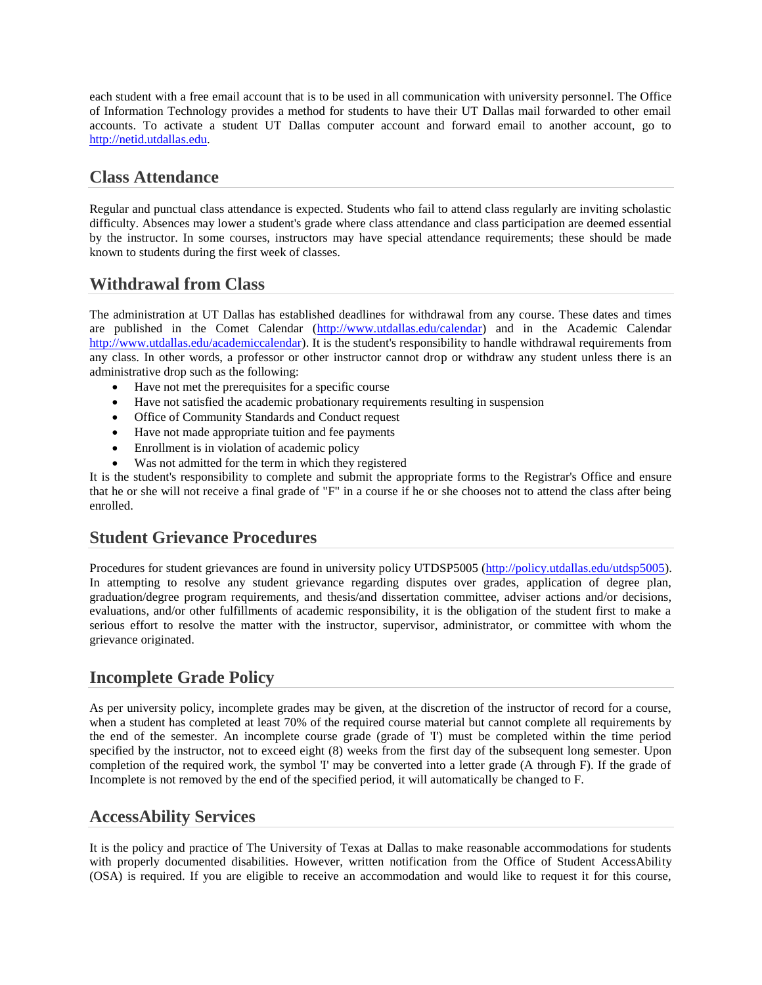each student with a free email account that is to be used in all communication with university personnel. The Office of Information Technology provides a method for students to have their UT Dallas mail forwarded to other email accounts. To activate a student UT Dallas computer account and forward email to another account, go to [http://netid.utdallas.edu.](http://netid.utdallas.edu/)

## **Class Attendance**

Regular and punctual class attendance is expected. Students who fail to attend class regularly are inviting scholastic difficulty. Absences may lower a student's grade where class attendance and class participation are deemed essential by the instructor. In some courses, instructors may have special attendance requirements; these should be made known to students during the first week of classes.

## **Withdrawal from Class**

The administration at UT Dallas has established deadlines for withdrawal from any course. These dates and times are published in the Comet Calendar [\(http://www.utdallas.edu/calendar\)](http://www.utdallas.edu/calendar) and in the Academic Calendar [http://www.utdallas.edu/academiccalendar\)](http://www.utdallas.edu/academiccalendar). It is the student's responsibility to handle withdrawal requirements from any class. In other words, a professor or other instructor cannot drop or withdraw any student unless there is an administrative drop such as the following:

- Have not met the prerequisites for a specific course
- Have not satisfied the academic probationary requirements resulting in suspension
- Office of Community Standards and Conduct request
- Have not made appropriate tuition and fee payments
- Enrollment is in violation of academic policy
- Was not admitted for the term in which they registered

It is the student's responsibility to complete and submit the appropriate forms to the Registrar's Office and ensure that he or she will not receive a final grade of "F" in a course if he or she chooses not to attend the class after being enrolled.

### **Student Grievance Procedures**

Procedures for student grievances are found in university policy UTDSP5005 [\(http://policy.utdallas.edu/utdsp5005\)](http://policy.utdallas.edu/utdsp5005). In attempting to resolve any student grievance regarding disputes over grades, application of degree plan, graduation/degree program requirements, and thesis/and dissertation committee, adviser actions and/or decisions, evaluations, and/or other fulfillments of academic responsibility, it is the obligation of the student first to make a serious effort to resolve the matter with the instructor, supervisor, administrator, or committee with whom the grievance originated.

## **Incomplete Grade Policy**

As per university policy, incomplete grades may be given, at the discretion of the instructor of record for a course, when a student has completed at least 70% of the required course material but cannot complete all requirements by the end of the semester. An incomplete course grade (grade of 'I') must be completed within the time period specified by the instructor, not to exceed eight (8) weeks from the first day of the subsequent long semester. Upon completion of the required work, the symbol 'I' may be converted into a letter grade (A through F). If the grade of Incomplete is not removed by the end of the specified period, it will automatically be changed to F.

### **AccessAbility Services**

It is the policy and practice of The University of Texas at Dallas to make reasonable accommodations for students with properly documented disabilities. However, written notification from the Office of Student AccessAbility (OSA) is required. If you are eligible to receive an accommodation and would like to request it for this course,